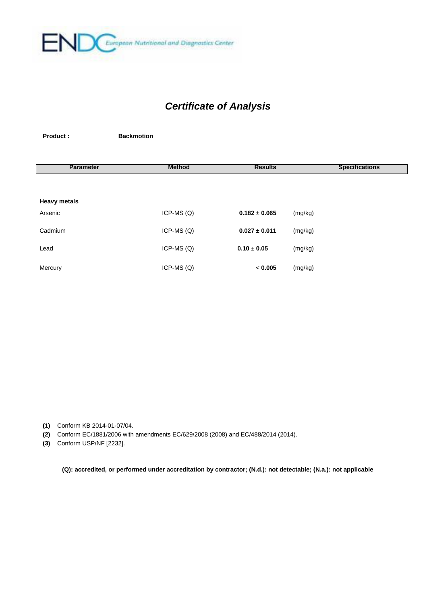

## *Certificate of Analysis*

**Product : Backmotion** 

| <b>Parameter</b>    | <b>Method</b> | <b>Results</b>    | <b>Specifications</b> |
|---------------------|---------------|-------------------|-----------------------|
|                     |               |                   |                       |
| <b>Heavy metals</b> |               |                   |                       |
| Arsenic             | $ICP-MS(Q)$   | $0.182 \pm 0.065$ | (mg/kg)               |
| Cadmium             | ICP-MS $(Q)$  | $0.027 \pm 0.011$ | (mg/kg)               |
| Lead                | ICP-MS $(Q)$  | $0.10 \pm 0.05$   | (mg/kg)               |
| Mercury             | $ICP-MS(Q)$   | < 0.005           | (mg/kg)               |

**(1)** Conform KB 2014-01-07/04.

**(2)** Conform EC/1881/2006 with amendments EC/629/2008 (2008) and EC/488/2014 (2014).

**(3)** Conform USP/NF [2232].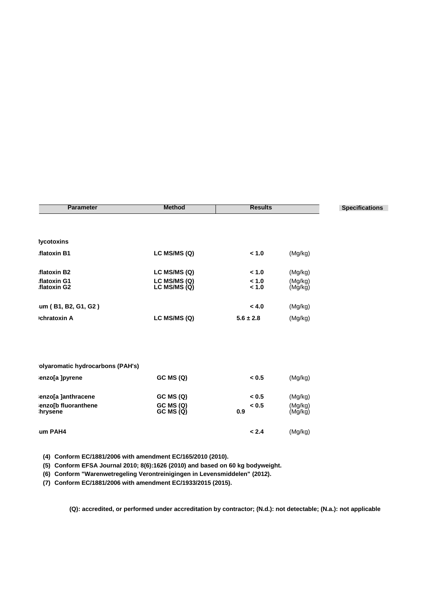| <b>Parameter</b>                 | <b>Method</b>                | <b>Results</b> |                    | <b>Specifications</b> |
|----------------------------------|------------------------------|----------------|--------------------|-----------------------|
|                                  |                              |                |                    |                       |
|                                  |                              |                |                    |                       |
| lycotoxins                       |                              |                |                    |                       |
| flatoxin B1                      | LC MS/MS (Q)                 | < 1.0          | (Mg/kg)            |                       |
| flatoxin B2                      | LC MS/MS (Q)                 | < 1.0          | (Mg/kg)            |                       |
| flatoxin G1                      |                              | < 1.0          |                    |                       |
| flatoxin G2                      | LC MS/MS (Q)<br>LC MS/MS (Q) | < 1.0          | (Mg/kg)<br>(Mg/kg) |                       |
|                                  |                              |                |                    |                       |
| um (B1, B2, G1, G2)              |                              | < 4.0          | (Mg/kg)            |                       |
| chratoxin A                      | LC MS/MS (Q)                 | $5.6 \pm 2.8$  | (Mg/kg)            |                       |
|                                  |                              |                |                    |                       |
|                                  |                              |                |                    |                       |
|                                  |                              |                |                    |                       |
| olyaromatic hydrocarbons (PAH's) |                              |                |                    |                       |
| enzo[a ]pyrene                   | GC MS (Q)                    | < 0.5          | (Mg/kg)            |                       |
|                                  |                              |                |                    |                       |
| enzo[a ]anthracene               | GC MS(Q)                     | < 0.5          | (Mg/kg)            |                       |
| enzo[b fluoranthene              | GC MS(Q)                     | < 0.5          | (Mg/kg)            |                       |
| hrysene                          | GC MS(Q)                     | 0.9            | (Mg/kg)            |                       |
|                                  |                              |                |                    |                       |
| um PAH4                          |                              | < 2.4          | (Mg/kg)            |                       |
|                                  |                              |                |                    |                       |

**(4) Conform EC/1881/2006 with amendment EC/165/2010 (2010).**

**(5) Conform EFSA Journal 2010; 8(6):1626 (2010) and based on 60 kg bodyweight.**

**(6) Conform "Warenwetregeling Verontreinigingen in Levensmiddelen" (2012).**

**(7) Conform EC/1881/2006 with amendment EC/1933/2015 (2015).**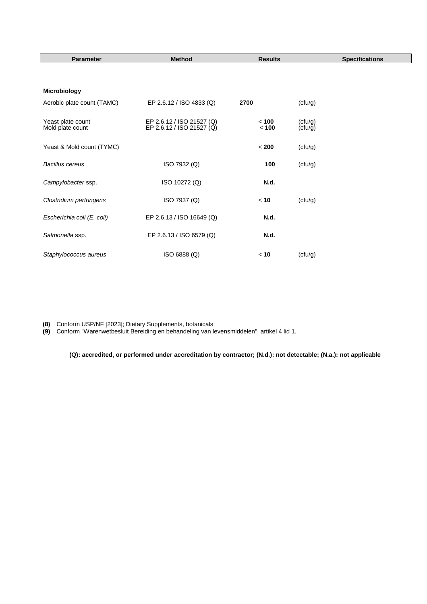| <b>Parameter</b>                      | <b>Method</b>                                          | <b>Results</b>   |                    | <b>Specifications</b> |
|---------------------------------------|--------------------------------------------------------|------------------|--------------------|-----------------------|
|                                       |                                                        |                  |                    |                       |
| <b>Microbiology</b>                   |                                                        |                  |                    |                       |
| Aerobic plate count (TAMC)            | EP 2.6.12 / ISO 4833 (Q)                               | 2700             | (ctu/g)            |                       |
| Yeast plate count<br>Mold plate count | EP 2.6.12 / ISO 21527 (Q)<br>EP 2.6.12 / ISO 21527 (Q) | < 100<br>$< 100$ | (ctu/g)<br>(ctu/g) |                       |
| Yeast & Mold count (TYMC)             |                                                        | < 200            | (ctu/g)            |                       |
| <b>Bacillus cereus</b>                | ISO 7932 (Q)                                           | 100              | (ctu/g)            |                       |
| Campylobacter ssp.                    | ISO 10272 (Q)                                          | N.d.             |                    |                       |
| Clostridium perfringens               | ISO 7937 (Q)                                           | < 10             | (ctu/g)            |                       |
| Escherichia coli (E. coli)            | EP 2.6.13 / ISO 16649 (Q)                              | N.d.             |                    |                       |
| Salmonella ssp.                       | EP 2.6.13 / ISO 6579 (Q)                               | N.d.             |                    |                       |
| Staphylococcus aureus                 | ISO 6888 (Q)                                           | < 10             | (ctu/g)            |                       |

**(8)** Conform USP/NF [2023]; Dietary Supplements, botanicals

**(9)** Conform "Warenwetbesluit Bereiding en behandeling van levensmiddelen", artikel 4 lid 1.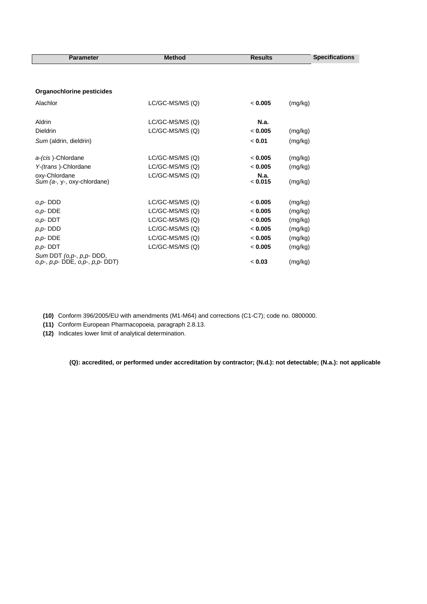| <b>Parameter</b>                                                   | <b>Method</b>   | <b>Results</b>         |         | <b>Specifications</b> |
|--------------------------------------------------------------------|-----------------|------------------------|---------|-----------------------|
|                                                                    |                 |                        |         |                       |
| <b>Organochlorine pesticides</b>                                   |                 |                        |         |                       |
| Alachlor                                                           | LC/GC-MS/MS (Q) | < 0.005                | (mg/kg) |                       |
| Aldrin                                                             | LC/GC-MS/MS (Q) | <b>N.a.</b>            |         |                       |
| <b>Dieldrin</b>                                                    | LC/GC-MS/MS (Q) | < 0.005                | (mg/kg) |                       |
| Sum (aldrin, dieldrin)                                             |                 | < 0.01                 | (mg/kg) |                       |
| a-(cis)-Chlordane                                                  | LC/GC-MS/MS (Q) | < 0.005                | (mg/kg) |                       |
| Y-(trans)-Chlordane                                                | LC/GC-MS/MS (Q) | < 0.005                | (mg/kg) |                       |
| oxy-Chlordane<br>Sum (a-, y-, oxy-chlordane)                       | LC/GC-MS/MS (Q) | <b>N.a.</b><br>< 0.015 | (mg/kg) |                       |
| $O, D$ - DDD                                                       | LC/GC-MS/MS (Q) | < 0.005                | (mg/kg) |                       |
| $O, D$ - DDE                                                       | LC/GC-MS/MS (Q) | < 0.005                | (mg/kg) |                       |
| $O, D - DDT$                                                       | LC/GC-MS/MS (Q) | < 0.005                | (mg/kg) |                       |
| $p, p$ -DDD                                                        | LC/GC-MS/MS (Q) | < 0.005                | (mg/kg) |                       |
| $p, p$ -DDE                                                        | LC/GC-MS/MS (Q) | < 0.005                | (mg/kg) |                       |
| $p, p$ - DDT                                                       | LC/GC-MS/MS (Q) | < 0.005                | (mg/kg) |                       |
| Sum DDT (o,p-, p,p-DDD,<br>$o, p, p, p$ - DDE, $o, p, p, p$ - DDT) |                 | < 0.03                 | (mg/kg) |                       |

**(11)** Conform European Pharmacopoeia, paragraph 2.8.13.

**(12)** Indicates lower limit of analytical determination.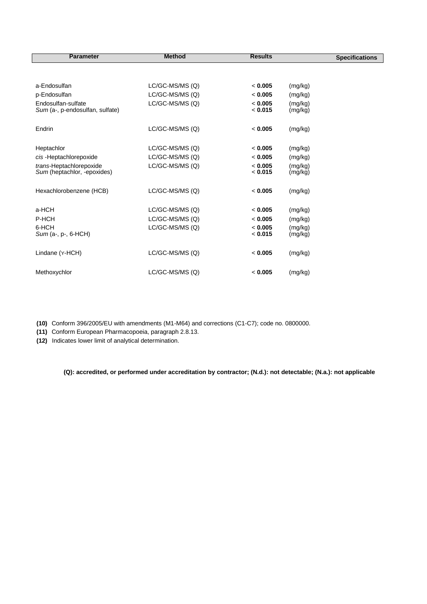| <b>Parameter</b>                                       | <b>Method</b>   | <b>Results</b>     | <b>Specifications</b> |
|--------------------------------------------------------|-----------------|--------------------|-----------------------|
|                                                        |                 |                    |                       |
| a-Endosulfan                                           | LC/GC-MS/MS (Q) | < 0.005            | (mq/kg)               |
| p-Endosulfan                                           | LC/GC-MS/MS (Q) | < 0.005            | (mg/kg)               |
| Endosulfan-sulfate<br>Sum (a-, p-endosulfan, sulfate)  | LC/GC-MS/MS (Q) | < 0.005<br>< 0.015 | (mq/kg)<br>(mg/kg)    |
| Endrin                                                 | LC/GC-MS/MS (Q) | < 0.005            | (mq/kg)               |
| Heptachlor                                             | LC/GC-MS/MS (Q) | < 0.005            | (mq/kg)               |
| cis-Heptachlorepoxide                                  | LC/GC-MS/MS (Q) | < 0.005            | (mq/kg)               |
| trans-Heptachlorepoxide<br>Sum (heptachlor, -epoxides) | LC/GC-MS/MS (Q) | < 0.005<br>< 0.015 | (mg/kg)<br>(mg/kg)    |
|                                                        |                 |                    |                       |
| Hexachlorobenzene (HCB)                                | LC/GC-MS/MS (Q) | < 0.005            | (mq/kg)               |
| a-HCH                                                  | LC/GC-MS/MS (Q) | < 0.005            | (mq/kg)               |
| P-HCH                                                  | LC/GC-MS/MS (Q) | < 0.005            | (mg/kg)               |
| 6-HCH<br>Sum (a-, p-, 6-HCH)                           | LC/GC-MS/MS (Q) | < 0.005<br>< 0.015 | (mq/kg)<br>(mq/kg)    |
| Lindane (Y-HCH)                                        | LC/GC-MS/MS (Q) | < 0.005            | (mq/kg)               |
| Methoxychlor                                           | LC/GC-MS/MS (Q) | < 0.005            | (mg/kg)               |

**(11)** Conform European Pharmacopoeia, paragraph 2.8.13.

**(12)** Indicates lower limit of analytical determination.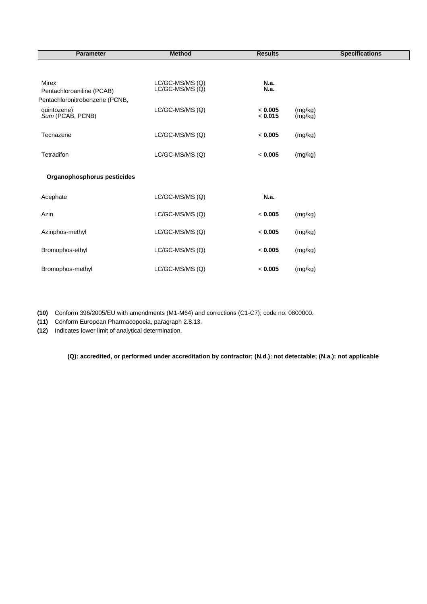| <b>Parameter</b>                                                            | <b>Method</b>                           | <b>Results</b>             | <b>Specifications</b> |
|-----------------------------------------------------------------------------|-----------------------------------------|----------------------------|-----------------------|
|                                                                             |                                         |                            |                       |
| <b>Mirex</b><br>Pentachloroaniline (PCAB)<br>Pentachloronitrobenzene (PCNB, | LC/GC-MS/MS (Q)<br>$LC/GC$ -MS/MS $(Q)$ | <b>N.a.</b><br><b>N.a.</b> |                       |
| quintozene)<br>Sum (PCAB, PCNB)                                             | LC/GC-MS/MS (Q)                         | < 0.005<br>< 0.015         | (mg/kg)<br>(mg/kg)    |
| Tecnazene                                                                   | LC/GC-MS/MS (Q)                         | < 0.005                    | (mg/kg)               |
| Tetradifon                                                                  | LC/GC-MS/MS (Q)                         | < 0.005                    | (mg/kg)               |
| Organophosphorus pesticides                                                 |                                         |                            |                       |
| Acephate                                                                    | LC/GC-MS/MS (Q)                         | <b>N.a.</b>                |                       |
| Azin                                                                        | LC/GC-MS/MS (Q)                         | < 0.005                    | (mg/kg)               |
| Azinphos-methyl                                                             | LC/GC-MS/MS (Q)                         | < 0.005                    | (mg/kg)               |
| Bromophos-ethyl                                                             | LC/GC-MS/MS (Q)                         | < 0.005                    | (mg/kg)               |
| Bromophos-methyl                                                            | LC/GC-MS/MS (Q)                         | < 0.005                    | (mg/kg)               |

**(11)** Conform European Pharmacopoeia, paragraph 2.8.13.

**(12)** Indicates lower limit of analytical determination.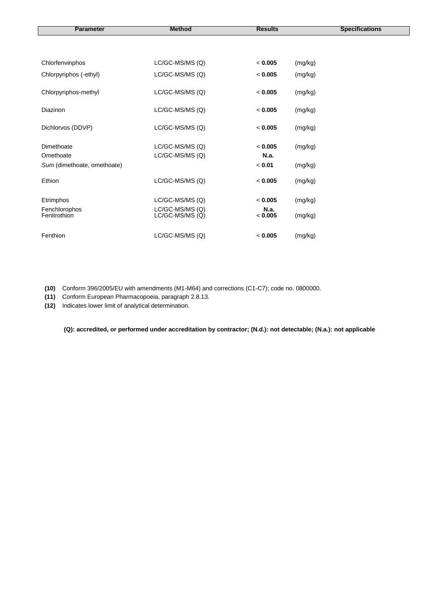| <b>Parameter</b>              | <b>Method</b>                      | <b>Results</b>  | <b>Specifications</b> |
|-------------------------------|------------------------------------|-----------------|-----------------------|
|                               |                                    |                 |                       |
| Chlorfenvinphos               | LC/GC-MS/MS (Q)                    | < 0.005         | (mg/kg)               |
| Chlorpyriphos (-ethyl)        | LC/GC-MS/MS (Q)                    | < 0.005         | (mg/kg)               |
| Chlorpyriphos-methyl          | LC/GC-MS/MS (Q)                    | < 0.005         | (mg/kg)               |
| Diazinon                      | LC/GC-MS/MS (Q)                    | < 0.005         | (mg/kg)               |
| Dichlorvos (DDVP)             | LC/GC-MS/MS (Q)                    | < 0.005         | (mg/kg)               |
| Dimethoate<br>Omethoate       | LC/GC-MS/MS (Q)<br>LC/GC-MS/MS (Q) | < 0.005<br>N.a. | (mg/kg)               |
| Sum (dimethoate, omethoate)   |                                    | < 0.01          | (mg/kg)               |
| Ethion                        | LC/GC-MS/MS (Q)                    | < 0.005         | (mg/kg)               |
| Etrimphos                     | LC/GC-MS/MS (Q)                    | < 0.005         | (mg/kg)               |
| Fenchlorophos<br>Fenitrothion | LC/GC-MS/MS (Q)<br>LC/GC-MS/MS (Q) | N.a.<br>< 0.005 | (mg/kg)               |
| Fenthion                      | LC/GC-MS/MS (Q)                    | < 0.005         | (mg/kg)               |

**(11)** Conform European Pharmacopoeia, paragraph 2.8.13.

**(12)** Indicates lower limit of analytical determination.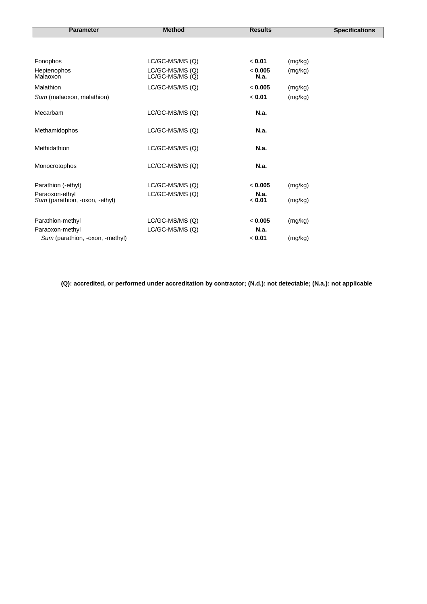| <b>Parameter</b>                                 | <b>Method</b>                      | <b>Results</b>         |         | <b>Specifications</b> |
|--------------------------------------------------|------------------------------------|------------------------|---------|-----------------------|
|                                                  |                                    |                        |         |                       |
| Fonophos                                         | LC/GC-MS/MS (Q)                    | < 0.01                 | (mg/kg) |                       |
| Heptenophos<br>Malaoxon                          | LC/GC-MS/MS (Q)<br>LC/GC-MS/MS (Q) | < 0.005<br><b>N.a.</b> | (mg/kg) |                       |
| Malathion                                        | LC/GC-MS/MS (Q)                    | < 0.005                | (mg/kg) |                       |
| Sum (malaoxon, malathion)                        |                                    | < 0.01                 | (mg/kg) |                       |
| Mecarbam                                         | LC/GC-MS/MS (Q)                    | <b>N.a.</b>            |         |                       |
| Methamidophos                                    | LC/GC-MS/MS (Q)                    | <b>N.a.</b>            |         |                       |
| Methidathion                                     | LC/GC-MS/MS (Q)                    | <b>N.a.</b>            |         |                       |
| Monocrotophos                                    | LC/GC-MS/MS (Q)                    | <b>N.a.</b>            |         |                       |
| Parathion (-ethyl)                               | LC/GC-MS/MS (Q)                    | < 0.005                | (mg/kg) |                       |
| Paraoxon-ethyl<br>Sum (parathion, -oxon, -ethyl) | LC/GC-MS/MS (Q)                    | <b>N.a.</b><br>< 0.01  | (mg/kg) |                       |
| Parathion-methyl                                 | LC/GC-MS/MS (Q)                    | < 0.005                | (mg/kg) |                       |
| Paraoxon-methyl                                  | LC/GC-MS/MS (Q)                    | <b>N.a.</b>            |         |                       |
| Sum (parathion, -oxon, -methyl)                  |                                    | < 0.01                 | (mg/kg) |                       |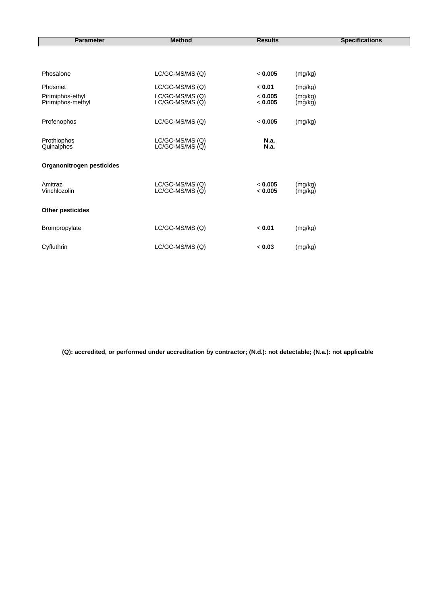| <b>Parameter</b>                      | <b>Method</b>                           | <b>Results</b>      | <b>Specifications</b>            |
|---------------------------------------|-----------------------------------------|---------------------|----------------------------------|
|                                       |                                         |                     |                                  |
| Phosalone                             | LC/GC-MS/MS (Q)                         | < 0.005             | (mg/kg)                          |
| Phosmet                               | $LC/GC$ -MS/MS $(Q)$                    | < 0.01              | (mg/kg)                          |
| Pirimiphos-ethyl<br>Pirimiphos-methyl | LC/GC-MS/MS (Q)<br>$LC/GC$ -MS/MS $(Q)$ | < 0.005<br>< 0.005  | (mg/kg)<br>$(m\bar{g}/k\bar{g})$ |
| Profenophos                           | LC/GC-MS/MS (Q)                         | < 0.005             | (mg/kg)                          |
| Prothiophos<br>Quinalphos             | LC/GC-MS/MS (Q)<br>$LC/GC$ -MS/MS $(Q)$ | N.a.<br><b>N.a.</b> |                                  |
| Organonitrogen pesticides             |                                         |                     |                                  |
| Amitraz<br>Vinchlozolin               | LC/GC-MS/MS (Q)<br>$LC/GC$ -MS/MS $(Q)$ | < 0.005<br>< 0.005  | (mg/kg)<br>(mg/kg)               |
| <b>Other pesticides</b>               |                                         |                     |                                  |
| Brompropylate                         | LC/GC-MS/MS (Q)                         | < 0.01              | (mg/kg)                          |
| Cyfluthrin                            | LC/GC-MS/MS (Q)                         | < 0.03              | (mg/kg)                          |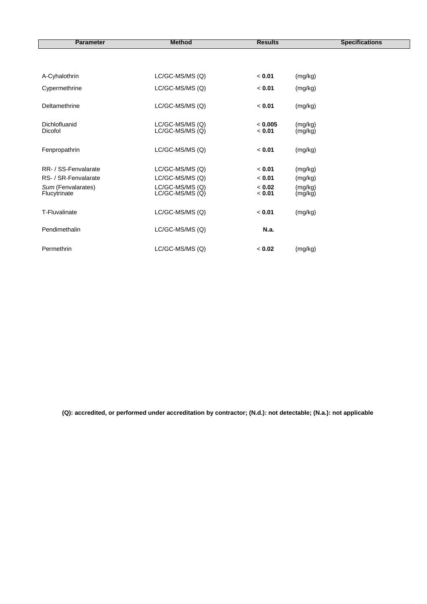| <b>Parameter</b>                   | <b>Method</b>                           | <b>Results</b>    | <b>Specifications</b> |  |
|------------------------------------|-----------------------------------------|-------------------|-----------------------|--|
|                                    |                                         |                   |                       |  |
|                                    |                                         |                   |                       |  |
| A-Cyhalothrin                      | LC/GC-MS/MS (Q)                         | < 0.01            | (mg/kg)               |  |
| Cypermethrine                      | LC/GC-MS/MS (Q)                         | < 0.01            | (mg/kg)               |  |
| Deltamethrine                      | LC/GC-MS/MS (Q)                         | < 0.01            | (mg/kg)               |  |
| Dichlofluanid<br>Dicofol           | LC/GC-MS/MS (Q)<br>LC/GC-MS/MS (Q)      | < 0.005<br>< 0.01 | (mg/kg)<br>(mg/kg)    |  |
| Fenpropathrin                      | LC/GC-MS/MS (Q)                         | < 0.01            | (mg/kg)               |  |
| RR- / SS-Fenvalarate               | LC/GC-MS/MS (Q)                         | < 0.01            | (mg/kg)               |  |
| RS- / SR-Fenvalarate               | LC/GC-MS/MS (Q)                         | < 0.01            | (mg/kg)               |  |
| Sum (Fenvalarates)<br>Flucytrinate | LC/GC-MS/MS (Q)<br>$LC/GC$ -MS/MS $(Q)$ | < 0.02<br>< 0.01  | (mg/kg)<br>(mg/kg)    |  |
| T-Fluvalinate                      | LC/GC-MS/MS (Q)                         | < 0.01            | (mg/kg)               |  |
| Pendimethalin                      | LC/GC-MS/MS (Q)                         | N.a.              |                       |  |
| Permethrin                         | LC/GC-MS/MS (Q)                         | < 0.02            | (mg/kg)               |  |